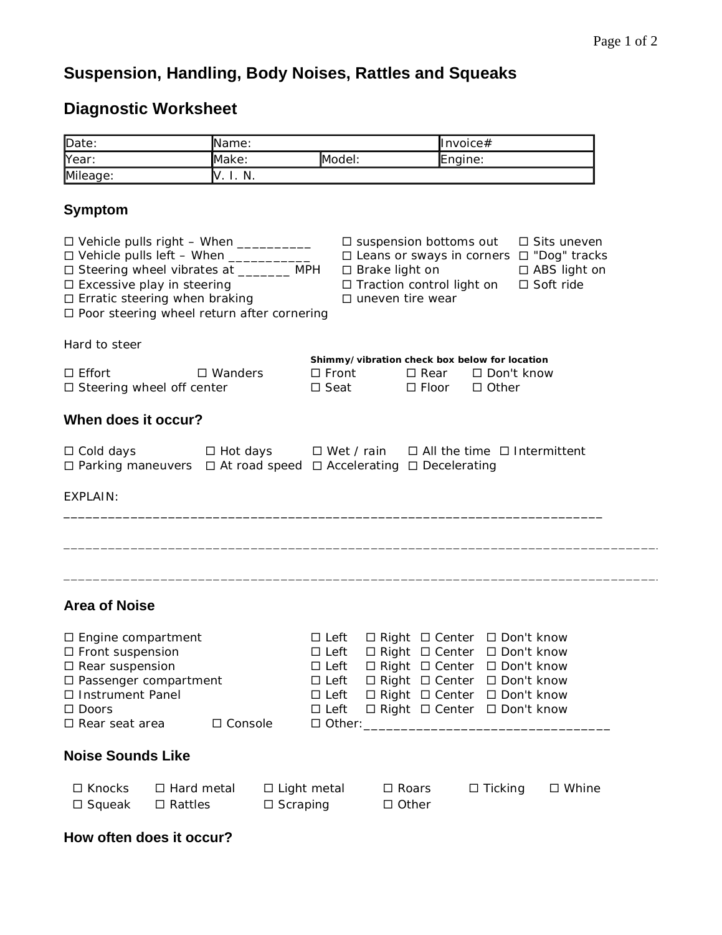## **Suspension, Handling, Body Noises, Rattles and Squeaks**

## **Diagnostic Worksheet**

| Date:                                                                                                                                                                          |                                                                                                                                                                                                                                                                                                   | Name:                                                                                                      |                                                                                                                                                                      |                                                                                                                                                                | Invoice#                                                 |  |
|--------------------------------------------------------------------------------------------------------------------------------------------------------------------------------|---------------------------------------------------------------------------------------------------------------------------------------------------------------------------------------------------------------------------------------------------------------------------------------------------|------------------------------------------------------------------------------------------------------------|----------------------------------------------------------------------------------------------------------------------------------------------------------------------|----------------------------------------------------------------------------------------------------------------------------------------------------------------|----------------------------------------------------------|--|
| Year:                                                                                                                                                                          | Make:                                                                                                                                                                                                                                                                                             | Model:                                                                                                     |                                                                                                                                                                      | Engine:                                                                                                                                                        |                                                          |  |
| Mileage:                                                                                                                                                                       | V. I. N.                                                                                                                                                                                                                                                                                          |                                                                                                            |                                                                                                                                                                      |                                                                                                                                                                |                                                          |  |
| <b>Symptom</b>                                                                                                                                                                 |                                                                                                                                                                                                                                                                                                   |                                                                                                            |                                                                                                                                                                      |                                                                                                                                                                |                                                          |  |
|                                                                                                                                                                                | $\Box$ Vehicle pulls right - When $\_\_\_\_\_\_\_\_\_\_\_\_\_\_\_\_\_\_\_$<br>□ Vehicle pulls left - When ___________<br>□ Steering wheel vibrates at _______ MPH<br>$\square$ Excessive play in steering<br>$\Box$ Erratic steering when braking<br>□ Poor steering wheel return after cornering |                                                                                                            | $\square$ suspension bottoms out<br>□ Leans or sways in corners □ "Dog" tracks<br>$\square$ Brake light on<br>□ Traction control light on<br>$\Box$ uneven tire wear |                                                                                                                                                                | □ Sits uneven<br>$\Box$ ABS light on<br>$\Box$ Soft ride |  |
| Hard to steer                                                                                                                                                                  |                                                                                                                                                                                                                                                                                                   |                                                                                                            |                                                                                                                                                                      |                                                                                                                                                                |                                                          |  |
| $\Box$ Effort                                                                                                                                                                  | $\Box$ Wanders<br>$\square$ Steering wheel off center                                                                                                                                                                                                                                             | $\square$ Front<br>$\square$ Seat                                                                          | Shimmy/vibration check box below for location<br>$\square$ Floor                                                                                                     | $\Box$ Rear $\Box$ Don't know<br>$\Box$ Other                                                                                                                  |                                                          |  |
| When does it occur?                                                                                                                                                            |                                                                                                                                                                                                                                                                                                   |                                                                                                            |                                                                                                                                                                      |                                                                                                                                                                |                                                          |  |
| $\Box$ Cold days                                                                                                                                                               | $\Box$ Hot days                                                                                                                                                                                                                                                                                   | $\Box$ Wet / rain<br>$\Box$ Parking maneuvers $\Box$ At road speed $\Box$ Accelerating $\Box$ Decelerating |                                                                                                                                                                      | $\Box$ All the time $\Box$ Intermittent                                                                                                                        |                                                          |  |
| EXPLAIN:                                                                                                                                                                       |                                                                                                                                                                                                                                                                                                   |                                                                                                            |                                                                                                                                                                      |                                                                                                                                                                |                                                          |  |
|                                                                                                                                                                                |                                                                                                                                                                                                                                                                                                   |                                                                                                            |                                                                                                                                                                      |                                                                                                                                                                |                                                          |  |
| <b>Area of Noise</b>                                                                                                                                                           |                                                                                                                                                                                                                                                                                                   |                                                                                                            |                                                                                                                                                                      |                                                                                                                                                                |                                                          |  |
| $\Box$ Engine compartment<br>$\square$ Front suspension<br>$\square$ Rear suspension<br>□ Passenger compartment<br>□ Instrument Panel<br>$\Box$ Doors<br>$\Box$ Rear seat area | □ Console                                                                                                                                                                                                                                                                                         | $\Box$ Left<br>$\square$ Left<br>$\Box$ Left<br>$\Box$ Left<br>$\Box$ Left                                 | $\Box$ Left $\Box$ Right $\Box$ Center $\Box$ Don't know<br>□ Right □ Center □ Don't know<br>□ Other: ______________                                                 | □ Right □ Center □ Don't know<br>□ Right □ Center □ Don't know<br>$\Box$ Right $\Box$ Center $\Box$ Don't know<br>$\Box$ Right $\Box$ Center $\Box$ Don't know |                                                          |  |
| <b>Noise Sounds Like</b>                                                                                                                                                       |                                                                                                                                                                                                                                                                                                   |                                                                                                            |                                                                                                                                                                      |                                                                                                                                                                |                                                          |  |
| □ Knocks<br>$\square$ Squeak                                                                                                                                                   | $\Box$ Hard metal<br>$\square$ Rattles                                                                                                                                                                                                                                                            | $\Box$ Light metal<br>$\Box$ Scraping                                                                      | $\square$ Roars<br>$\Box$ Other                                                                                                                                      | $\Box$ Ticking                                                                                                                                                 | $\square$ Whine                                          |  |

## **How often does it occur?**